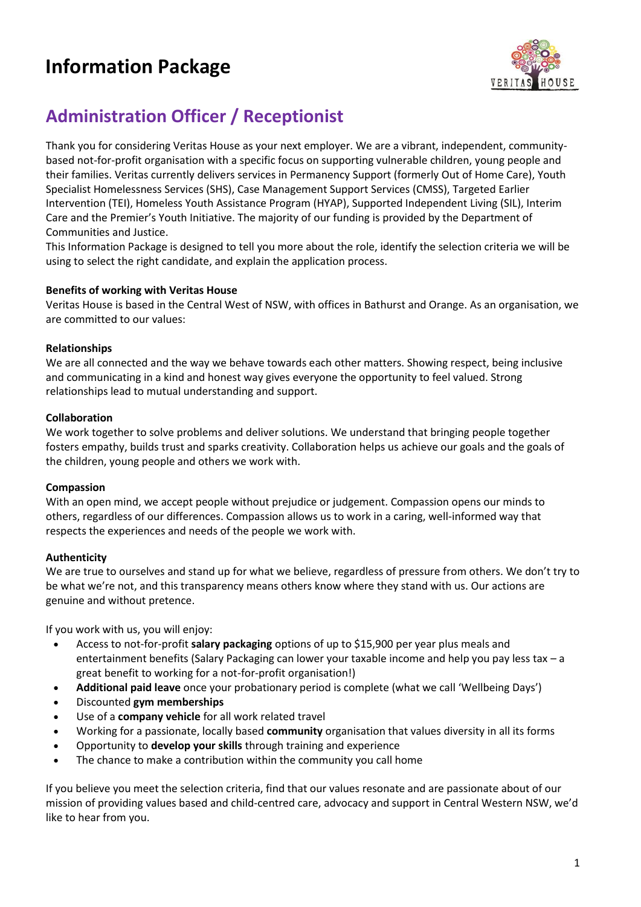# **Information Package**



# **Administration Officer / Receptionist**

Thank you for considering Veritas House as your next employer. We are a vibrant, independent, communitybased not-for-profit organisation with a specific focus on supporting vulnerable children, young people and their families. Veritas currently delivers services in Permanency Support (formerly Out of Home Care), Youth Specialist Homelessness Services (SHS), Case Management Support Services (CMSS), Targeted Earlier Intervention (TEI), Homeless Youth Assistance Program (HYAP), Supported Independent Living (SIL), Interim Care and the Premier's Youth Initiative. The majority of our funding is provided by the Department of Communities and Justice.

This Information Package is designed to tell you more about the role, identify the selection criteria we will be using to select the right candidate, and explain the application process.

# **Benefits of working with Veritas House**

Veritas House is based in the Central West of NSW, with offices in Bathurst and Orange. As an organisation, we are committed to our values:

# **Relationships**

We are all connected and the way we behave towards each other matters. Showing respect, being inclusive and communicating in a kind and honest way gives everyone the opportunity to feel valued. Strong relationships lead to mutual understanding and support.

#### **Collaboration**

We work together to solve problems and deliver solutions. We understand that bringing people together fosters empathy, builds trust and sparks creativity. Collaboration helps us achieve our goals and the goals of the children, young people and others we work with.

#### **Compassion**

With an open mind, we accept people without prejudice or judgement. Compassion opens our minds to others, regardless of our differences. Compassion allows us to work in a caring, well-informed way that respects the experiences and needs of the people we work with.

# **Authenticity**

We are true to ourselves and stand up for what we believe, regardless of pressure from others. We don't try to be what we're not, and this transparency means others know where they stand with us. Our actions are genuine and without pretence.

If you work with us, you will enjoy:

- Access to not-for-profit **salary packaging** options of up to \$15,900 per year plus meals and entertainment benefits (Salary Packaging can lower your taxable income and help you pay less tax – a great benefit to working for a not-for-profit organisation!)
- **Additional paid leave** once your probationary period is complete (what we call 'Wellbeing Days')
- Discounted **gym memberships**
- Use of a **company vehicle** for all work related travel
- Working for a passionate, locally based **community** organisation that values diversity in all its forms
- Opportunity to **develop your skills** through training and experience
- The chance to make a contribution within the community you call home

If you believe you meet the selection criteria, find that our values resonate and are passionate about of our mission of providing values based and child-centred care, advocacy and support in Central Western NSW, we'd like to hear from you.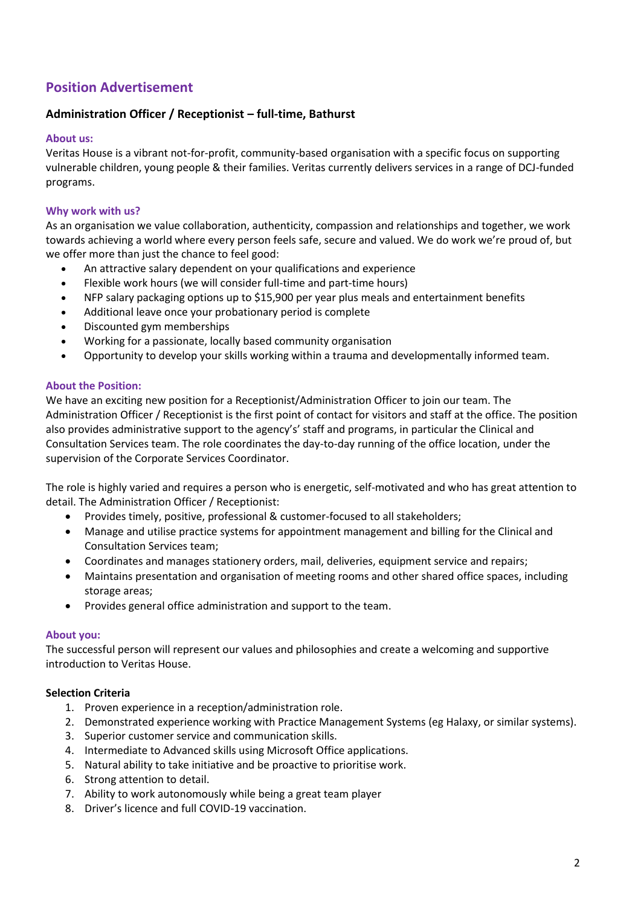# **Position Advertisement**

# **Administration Officer / Receptionist – full-time, Bathurst**

# **About us:**

Veritas House is a vibrant not-for-profit, community-based organisation with a specific focus on supporting vulnerable children, young people & their families. Veritas currently delivers services in a range of DCJ-funded programs.

# **Why work with us?**

As an organisation we value collaboration, authenticity, compassion and relationships and together, we work towards achieving a world where every person feels safe, secure and valued. We do work we're proud of, but we offer more than just the chance to feel good:

- An attractive salary dependent on your qualifications and experience
- Flexible work hours (we will consider full-time and part-time hours)
- NFP salary packaging options up to \$15,900 per year plus meals and entertainment benefits
- Additional leave once your probationary period is complete
- Discounted gym memberships
- Working for a passionate, locally based community organisation
- Opportunity to develop your skills working within a trauma and developmentally informed team.

# **About the Position:**

We have an exciting new position for a Receptionist/Administration Officer to join our team. The Administration Officer / Receptionist is the first point of contact for visitors and staff at the office. The position also provides administrative support to the agency's' staff and programs, in particular the Clinical and Consultation Services team. The role coordinates the day-to-day running of the office location, under the supervision of the Corporate Services Coordinator.

The role is highly varied and requires a person who is energetic, self-motivated and who has great attention to detail. The Administration Officer / Receptionist:

- Provides timely, positive, professional & customer-focused to all stakeholders;
- Manage and utilise practice systems for appointment management and billing for the Clinical and Consultation Services team;
- Coordinates and manages stationery orders, mail, deliveries, equipment service and repairs;
- Maintains presentation and organisation of meeting rooms and other shared office spaces, including storage areas;
- Provides general office administration and support to the team.

#### **About you:**

The successful person will represent our values and philosophies and create a welcoming and supportive introduction to Veritas House.

#### **Selection Criteria**

- 1. Proven experience in a reception/administration role.
- 2. Demonstrated experience working with Practice Management Systems (eg Halaxy, or similar systems).
- 3. Superior customer service and communication skills.
- 4. Intermediate to Advanced skills using Microsoft Office applications.
- 5. Natural ability to take initiative and be proactive to prioritise work.
- 6. Strong attention to detail.
- 7. Ability to work autonomously while being a great team player
- 8. Driver's licence and full COVID-19 vaccination.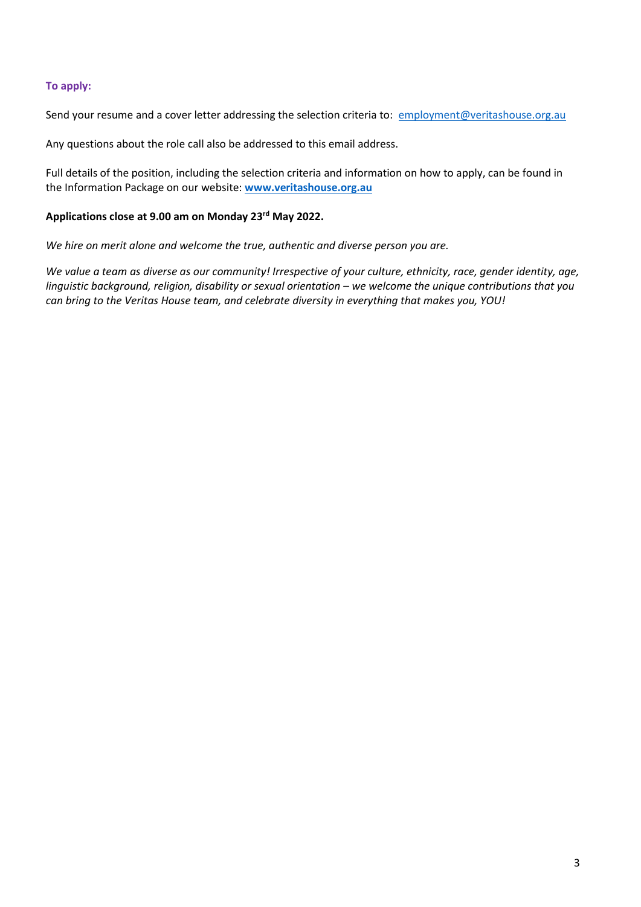# **To apply:**

Send your resume and a cover letter addressing the selection criteria to: [employment@veritashouse.org.au](mailto:employment@veritashouse.org.au)

Any questions about the role call also be addressed to this email address.

Full details of the position, including the selection criteria and information on how to apply, can be found in the Information Package on our website: **[www.veritashouse.org.au](http://www.veritashouse.org.au/)**

# **Applications close at 9.00 am on Monday 23rd May 2022.**

*We hire on merit alone and welcome the true, authentic and diverse person you are.*

*We value a team as diverse as our community! Irrespective of your culture, ethnicity, race, gender identity, age, linguistic background, religion, disability or sexual orientation – we welcome the unique contributions that you can bring to the Veritas House team, and celebrate diversity in everything that makes you, YOU!*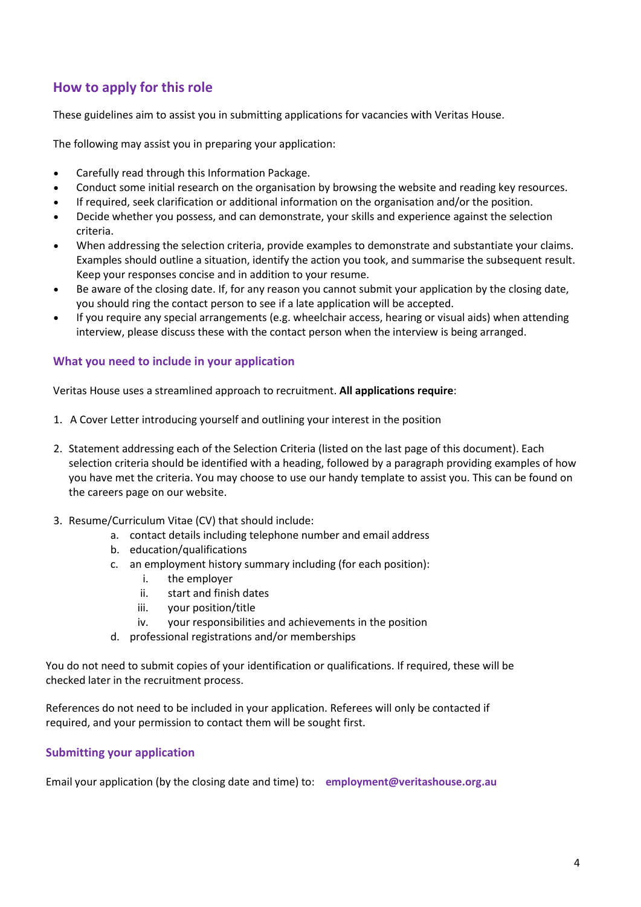# **How to apply for this role**

These guidelines aim to assist you in submitting applications for vacancies with Veritas House.

The following may assist you in preparing your application:

- Carefully read through this Information Package.
- Conduct some initial research on the organisation by browsing the website and reading key resources.
- If required, seek clarification or additional information on the organisation and/or the position.
- Decide whether you possess, and can demonstrate, your skills and experience against the selection criteria.
- When addressing the selection criteria, provide examples to demonstrate and substantiate your claims. Examples should outline a situation, identify the action you took, and summarise the subsequent result. Keep your responses concise and in addition to your resume.
- Be aware of the closing date. If, for any reason you cannot submit your application by the closing date, you should ring the contact person to see if a late application will be accepted.
- If you require any special arrangements (e.g. wheelchair access, hearing or visual aids) when attending interview, please discuss these with the contact person when the interview is being arranged.

# **What you need to include in your application**

Veritas House uses a streamlined approach to recruitment. **All applications require**:

- 1. A Cover Letter introducing yourself and outlining your interest in the position
- 2. Statement addressing each of the Selection Criteria (listed on the last page of this document). Each selection criteria should be identified with a heading, followed by a paragraph providing examples of how you have met the criteria. You may choose to use our handy template to assist you. This can be found on the careers page on our website.
- 3. Resume/Curriculum Vitae (CV) that should include:
	- a. contact details including telephone number and email address
	- b. education/qualifications
	- c. an employment history summary including (for each position):
		- i. the employer
		- ii. start and finish dates
		- iii. your position/title
		- iv. your responsibilities and achievements in the position
	- d. professional registrations and/or memberships

You do not need to submit copies of your identification or qualifications. If required, these will be checked later in the recruitment process.

References do not need to be included in your application. Referees will only be contacted if required, and your permission to contact them will be sought first.

# **Submitting your application**

Email your application (by the closing date and time) to: **employment@veritashouse.org.au**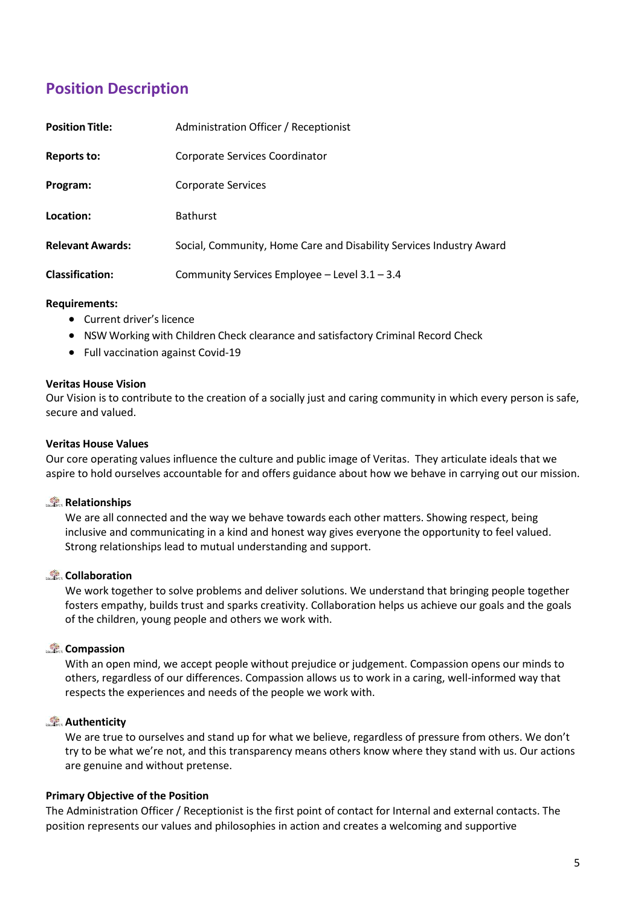# **Position Description**

| <b>Position Title:</b>  | Administration Officer / Receptionist                               |
|-------------------------|---------------------------------------------------------------------|
| Reports to:             | Corporate Services Coordinator                                      |
| Program:                | <b>Corporate Services</b>                                           |
| Location:               | <b>Bathurst</b>                                                     |
| <b>Relevant Awards:</b> | Social, Community, Home Care and Disability Services Industry Award |
| <b>Classification:</b>  | Community Services Employee - Level 3.1 - 3.4                       |

# **Requirem[ents:](http://www.docudesk.com/deskpdf/pdf-studio/buy-studio-x-now)**

- [Current](http://www.docudesk.com/deskpdf/pdf-studio/buy-studio-x-now) driver's licence
- [NSW Working](http://www.docudesk.com/deskpdf/pdf-studio/buy-studio-x-now) with Children Check clearance and satisfactory Criminal Record Check
- Full vaccination against Covid-19

#### **Veritas House Vision**

Our Vision is to contribute to the creation of a socially just and caring community in which every person is safe, secure and valued.

# **Veritas House Values**

Our core operating values influence the culture and public image of Veritas. They articulate ideals that we aspire to hold ourselves accountable for and offers guidance about how we behave in carrying out our mission.

#### **Relationships**

We are all connected and the way we behave towards each other matters. Showing respect, being inclusive and communicating in a kind and honest way gives everyone the opportunity to feel valued. Strong relationships lead to mutual understanding and support.

#### **Collaboration**

We work together to solve problems and deliver solutions. We understand that bringing people together fosters empathy, builds trust and sparks creativity. Collaboration helps us achieve our goals and the goals of the children, young people and others we work with.

# **Compassion**

With an open mind, we accept people without prejudice or judgement. Compassion opens our minds to others, regardless of our differences. Compassion allows us to work in a caring, well-informed way that respects the experiences and needs of the people we work with.

# **Authenticity**

We are true to ourselves and stand up for what we believe, regardless of pressure from others. We don't try to be what we're not, and this transparency means others know where they stand with us. Our actions are genuine and without pretense.

#### **Primary Objective of the Position**

The Administration Officer / Receptionist is the first point of contact for Internal and external contacts. The position represents our values and philosophies in action and creates a welcoming and supportive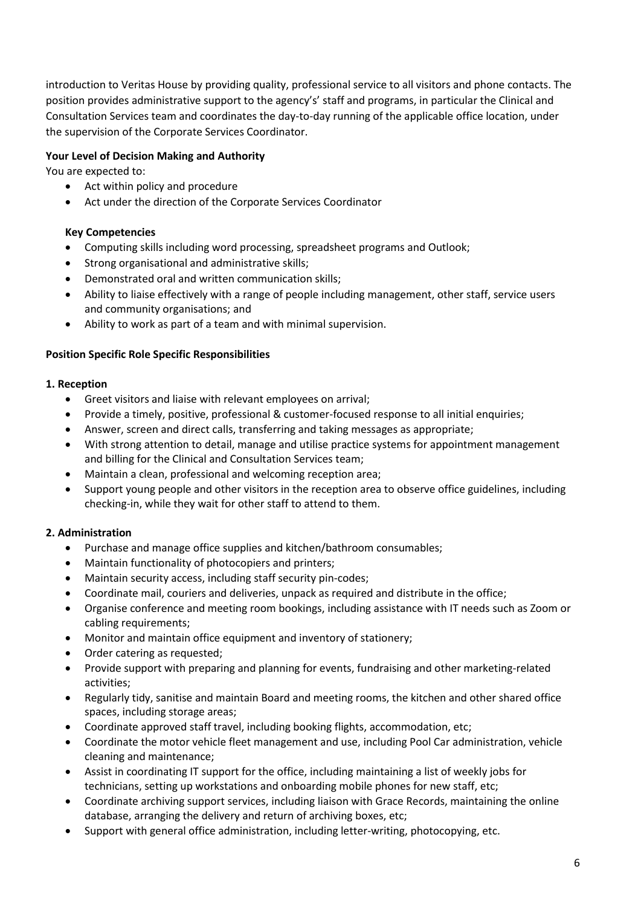introduction to Veritas House by providing quality, professional service to all visitors and phone contacts. The position provides administrative support to the agency's' staff and programs, in particular the Clinical and Consultation Services team and coordinates the day-to-day running of the applicable office location, under the supervision of the Corporate Services Coordinator.

# **Your Level of Decision Making and Authority**

You are expected to:

- Act within policy and procedure
- Act under the direction of the Corporate Services Coordinator

# **Key Competencies**

- Computing skills including word processing, spreadsheet programs and Outlook;
- Strong organisational and administrative skills;
- Demonstrated oral and written communication skills;
- Ability to liaise effectively with a range of people including management, other staff, service users and community organisations; and
- Ability to work as part of a team and with minimal supervision.

# **Position Specific Role Specific Responsibilities**

# **1. Reception**

- Greet visitors and liaise with relevant employees on arrival;
- Provide a timely, positive, professional & customer-focused response to all initial enquiries;
- Answer, screen and direct calls, transferring and taking messages as appropriate;
- With strong attention to detail, manage and utilise practice systems for appointment management and billing for the Clinical and Consultation Services team;
- Maintain a clean, professional and welcoming reception area;
- Support young people and other visitors in the reception area to observe office guidelines, including checking-in, while they wait for other staff to attend to them.

# **2. Administration**

- Purchase and manage office supplies and kitchen/bathroom consumables;
- Maintain functionality of photocopiers and printers;
- Maintain security access, including staff security pin-codes;
- Coordinate mail, couriers and deliveries, unpack as required and distribute in the office;
- Organise conference and meeting room bookings, including assistance with IT needs such as Zoom or cabling requirements;
- Monitor and maintain office equipment and inventory of stationery;
- Order catering as requested;
- Provide support with preparing and planning for events, fundraising and other marketing-related activities;
- Regularly tidy, sanitise and maintain Board and meeting rooms, the kitchen and other shared office spaces, including storage areas;
- Coordinate approved staff travel, including booking flights, accommodation, etc;
- Coordinate the motor vehicle fleet management and use, including Pool Car administration, vehicle cleaning and maintenance;
- Assist in coordinating IT support for the office, including maintaining a list of weekly jobs for technicians, setting up workstations and onboarding mobile phones for new staff, etc;
- Coordinate archiving support services, including liaison with Grace Records, maintaining the online database, arranging the delivery and return of archiving boxes, etc;
- Support with general office administration, including letter-writing, photocopying, etc.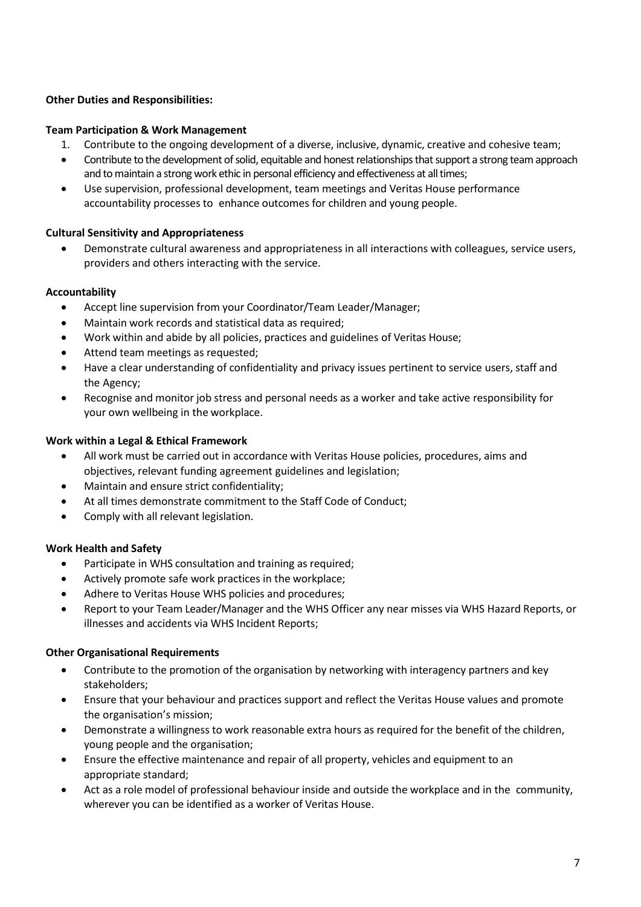# **Other Duties and Responsibilities:**

# **Team Participation & Work Management**

- 1. Contribute to the ongoing development of a diverse, inclusive, dynamic, creative and cohesive team;
- Contribute to the development of solid, equitable and honest relationships that support a strong team approach and to maintain a strong work ethic in personal efficiency and effectiveness at all times;
- Use supervision, professional development, team meetings and Veritas House performance accountability processes to enhance outcomes for children and young people.

# **Cultural Sensitivity and Appropriateness**

• Demonstrate cultural awareness and appropriateness in all interactions with colleagues, service users, providers and others interacting with the service.

# **Accountability**

- Accept line supervision from your Coordinator/Team Leader/Manager;
- Maintain work records and statistical data as required;
- Work within and abide by all policies, practices and guidelines of Veritas House;
- Attend team meetings as requested;
- Have a clear understanding of confidentiality and privacy issues pertinent to service users, staff and the Agency;
- Recognise and monitor job stress and personal needs as a worker and take active responsibility for your own wellbeing in the workplace.

#### **Work within a Legal & Ethical Framework**

- All work must be carried out in accordance with Veritas House policies, procedures, aims and objectives, relevant funding agreement guidelines and legislation;
- Maintain and ensure strict confidentiality;
- At all times demonstrate commitment to the Staff Code of Conduct;
- Comply with all relevant legislation.

#### **Work Health and Safety**

- Participate in WHS consultation and training as required;
- Actively promote safe work practices in the workplace;
- Adhere to Veritas House WHS policies and procedures;
- Report to your Team Leader/Manager and the WHS Officer any near misses via WHS Hazard Reports, or illnesses and accidents via WHS Incident Reports;

#### **Other Organisational Requirements**

- Contribute to the promotion of the organisation by networking with interagency partners and key stakeholders;
- Ensure that your behaviour and practices support and reflect the Veritas House values and promote the organisation's mission;
- Demonstrate a willingness to work reasonable extra hours as required for the benefit of the children, young people and the organisation;
- Ensure the effective maintenance and repair of all property, vehicles and equipment to an appropriate standar[d;](http://www.docudesk.com/deskpdf/pdf-studio/buy-studio-x-now)
- Act as a role model of professional behaviour inside and outside the workplace and in the community, wherever you can be identified as a worker of Veritas House.